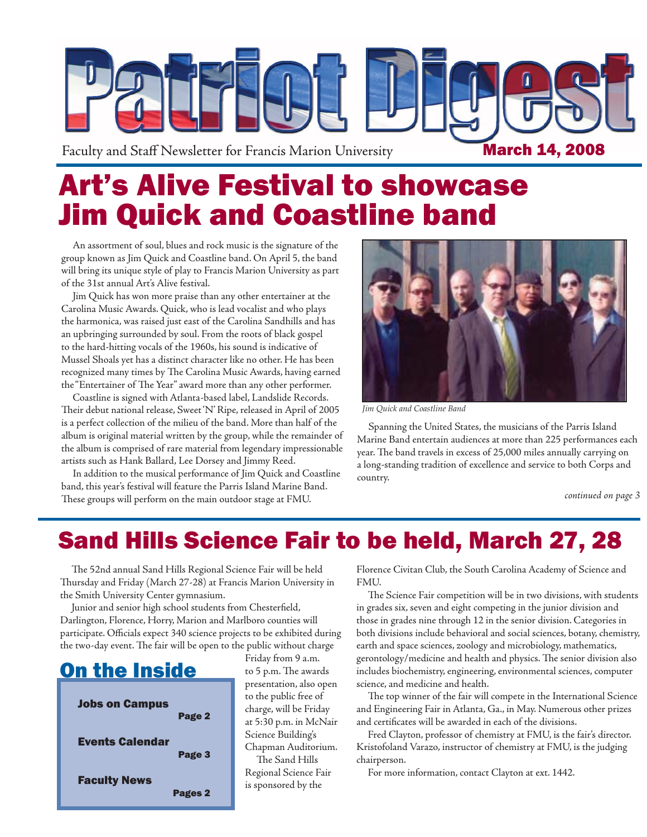

# Art's Alive Festival to showcase Jim Quick and Coastline band

An assortment of soul, blues and rock music is the signature of the group known as Jim Quick and Coastline band. On April 5, the band will bring its unique style of play to Francis Marion University as part of the 31st annual Art's Alive festival.

Jim Quick has won more praise than any other entertainer at the Carolina Music Awards. Quick, who is lead vocalist and who plays the harmonica, was raised just east of the Carolina Sandhills and has an upbringing surrounded by soul. From the roots of black gospel to the hard-hitting vocals of the 1960s, his sound is indicative of Mussel Shoals yet has a distinct character like no other. He has been recognized many times by The Carolina Music Awards, having earned the "Entertainer of The Year" award more than any other performer.

Coastline is signed with Atlanta-based label, Landslide Records. Their debut national release, Sweet 'N' Ripe, released in April of 2005 is a perfect collection of the milieu of the band. More than half of the album is original material written by the group, while the remainder of the album is comprised of rare material from legendary impressionable artists such as Hank Ballard, Lee Dorsey and Jimmy Reed.

In addition to the musical performance of Jim Quick and Coastline band, this year's festival will feature the Parris Island Marine Band. These groups will perform on the main outdoor stage at FMU.



*Jim Quick and Coastline Band*

Spanning the United States, the musicians of the Parris Island Marine Band entertain audiences at more than 225 performances each year. The band travels in excess of 25,000 miles annually carrying on a long-standing tradition of excellence and service to both Corps and country.

*continued on page 3*

### Sand Hills Science Fair to be held, March 27, 28

The 52nd annual Sand Hills Regional Science Fair will be held Thursday and Friday (March 27-28) at Francis Marion University in the Smith University Center gymnasium.

Junior and senior high school students from Chesterfield, Darlington, Florence, Horry, Marion and Marlboro counties will participate. Officials expect 340 science projects to be exhibited during the two-day event. The fair will be open to the public without charge



Friday from 9 a.m. to 5 p.m. The awards presentation, also open to the public free of charge, will be Friday at 5:30 p.m. in McNair Science Building's Chapman Auditorium. The Sand Hills Regional Science Fair is sponsored by the

Florence Civitan Club, the South Carolina Academy of Science and FMU.

The Science Fair competition will be in two divisions, with students in grades six, seven and eight competing in the junior division and those in grades nine through 12 in the senior division. Categories in both divisions include behavioral and social sciences, botany, chemistry, earth and space sciences, zoology and microbiology, mathematics, gerontology/medicine and health and physics. The senior division also includes biochemistry, engineering, environmental sciences, computer science, and medicine and health.

The top winner of the fair will compete in the International Science and Engineering Fair in Atlanta, Ga., in May. Numerous other prizes and certificates will be awarded in each of the divisions.

Fred Clayton, professor of chemistry at FMU, is the fair's director. Kristofoland Varazo, instructor of chemistry at FMU, is the judging chairperson.

For more information, contact Clayton at ext. 1442.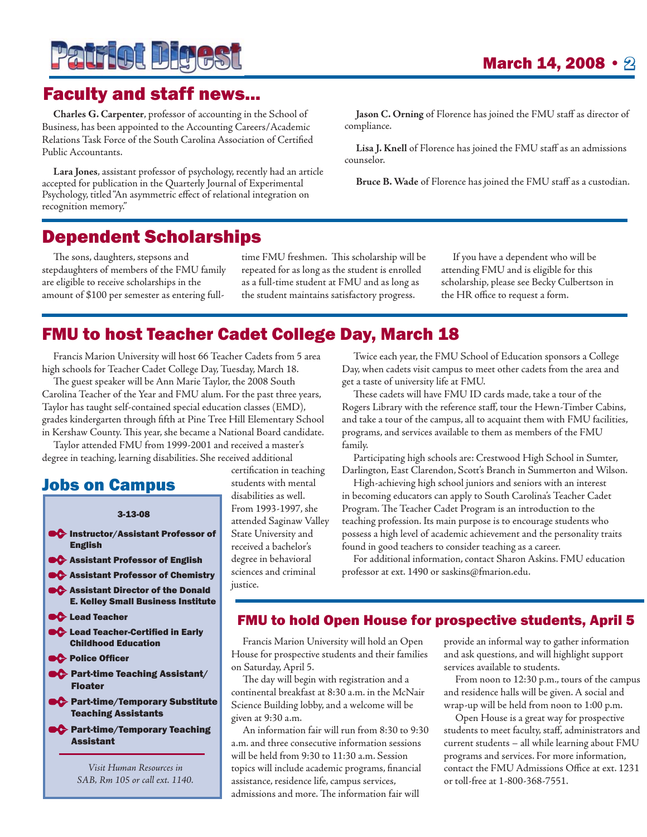

### Faculty and staff news...

**Charles G. Carpenter**, professor of accounting in the School of Business, has been appointed to the Accounting Careers/Academic Relations Task Force of the South Carolina Association of Certified Public Accountants.

**Lara Jones**, assistant professor of psychology, recently had an article accepted for publication in the Quarterly Journal of Experimental Psychology, titled "An asymmetric effect of relational integration on recognition memory."

**Jason C. Orning** of Florence has joined the FMU staff as director of compliance.

**Lisa J. Knell** of Florence has joined the FMU staff as an admissions counselor.

**Bruce B. Wade** of Florence has joined the FMU staff as a custodian.

### Dependent Scholarships

The sons, daughters, stepsons and stepdaughters of members of the FMU family are eligible to receive scholarships in the amount of \$100 per semester as entering fulltime FMU freshmen. This scholarship will be repeated for as long as the student is enrolled as a full-time student at FMU and as long as the student maintains satisfactory progress.

If you have a dependent who will be attending FMU and is eligible for this scholarship, please see Becky Culbertson in the HR office to request a form.

### FMU to host Teacher Cadet College Day, March 18

Francis Marion University will host 66 Teacher Cadets from 5 area high schools for Teacher Cadet College Day, Tuesday, March 18.

The guest speaker will be Ann Marie Taylor, the 2008 South Carolina Teacher of the Year and FMU alum. For the past three years, Taylor has taught self-contained special education classes (EMD), grades kindergarten through fifth at Pine Tree Hill Elementary School in Kershaw County. This year, she became a National Board candidate.

Taylor attended FMU from 1999-2001 and received a master's degree in teaching, learning disabilities. She received additional

#### Jobs on Campus

#### 3-13-08

- **Instructor/Assistant Professor of** English
- **C** Assistant Professor of English
- **C** Assistant Professor of Chemistry
- **C** Assistant Director of the Donald E. Kelley Small Business Institute
- **C** Lead Teacher
- **C** Lead Teacher-Certified in Early Childhood Education
- **Police Officer**
- **CC** Part-time Teaching Assistant/ Floater
- **C** Part-time/Temporary Substitute Teaching Assistants
- **PG** Part-time/Temporary Teaching Assistant

*Visit Human Resources in SAB, Rm 105 or call ext. 1140.* certification in teaching students with mental disabilities as well. From 1993-1997, she attended Saginaw Valley State University and received a bachelor's degree in behavioral sciences and criminal justice.

Twice each year, the FMU School of Education sponsors a College Day, when cadets visit campus to meet other cadets from the area and get a taste of university life at FMU.

These cadets will have FMU ID cards made, take a tour of the Rogers Library with the reference staff, tour the Hewn-Timber Cabins, and take a tour of the campus, all to acquaint them with FMU facilities, programs, and services available to them as members of the FMU family.

Participating high schools are: Crestwood High School in Sumter, Darlington, East Clarendon, Scott's Branch in Summerton and Wilson.

High-achieving high school juniors and seniors with an interest in becoming educators can apply to South Carolina's Teacher Cadet Program. The Teacher Cadet Program is an introduction to the teaching profession. Its main purpose is to encourage students who possess a high level of academic achievement and the personality traits found in good teachers to consider teaching as a career.

For additional information, contact Sharon Askins. FMU education professor at ext. 1490 or saskins@fmarion.edu.

#### FMU to hold Open House for prospective students, April 5

Francis Marion University will hold an Open House for prospective students and their families on Saturday, April 5.

The day will begin with registration and a continental breakfast at 8:30 a.m. in the McNair Science Building lobby, and a welcome will be given at 9:30 a.m.

An information fair will run from 8:30 to 9:30 a.m. and three consecutive information sessions will be held from 9:30 to 11:30 a.m. Session topics will include academic programs, financial assistance, residence life, campus services, admissions and more. The information fair will

provide an informal way to gather information and ask questions, and will highlight support services available to students.

From noon to 12:30 p.m., tours of the campus and residence halls will be given. A social and wrap-up will be held from noon to 1:00 p.m.

Open House is a great way for prospective students to meet faculty, staff, administrators and current students – all while learning about FMU programs and services. For more information, contact the FMU Admissions Office at ext. 1231 or toll-free at 1-800-368-7551.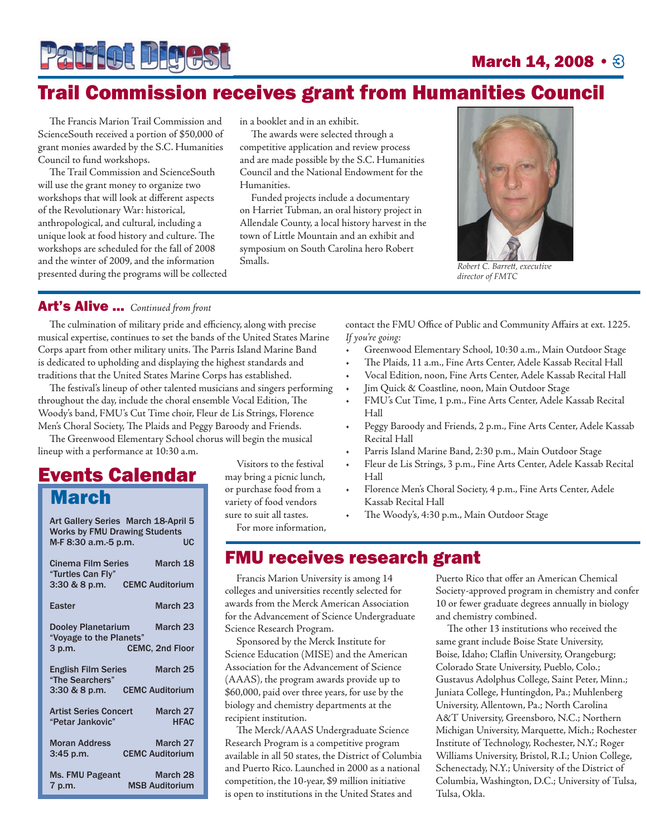

### **March 14, 2008 • 8**

### Trail Commission receives grant from Humanities Council

The Francis Marion Trail Commission and ScienceSouth received a portion of \$50,000 of grant monies awarded by the S.C. Humanities Council to fund workshops.

The Trail Commission and ScienceSouth will use the grant money to organize two workshops that will look at different aspects of the Revolutionary War: historical, anthropological, and cultural, including a unique look at food history and culture. The workshops are scheduled for the fall of 2008 and the winter of 2009, and the information presented during the programs will be collected in a booklet and in an exhibit.

The awards were selected through a competitive application and review process and are made possible by the S.C. Humanities Council and the National Endowment for the Humanities.

Funded projects include a documentary on Harriet Tubman, an oral history project in Allendale County, a local history harvest in the town of Little Mountain and an exhibit and symposium on South Carolina hero Robert Smalls.



*Robert C. Barrett , executive director of FMTC*

#### Art's Alive ... *Continued from front*

The culmination of military pride and efficiency, along with precise musical expertise, continues to set the bands of the United States Marine Corps apart from other military units. The Parris Island Marine Band is dedicated to upholding and displaying the highest standards and traditions that the United States Marine Corps has established.

The festival's lineup of other talented musicians and singers performing throughout the day, include the choral ensemble Vocal Edition, The Woody's band, FMU's Cut Time choir, Fleur de Lis Strings, Florence Men's Choral Society, The Plaids and Peggy Baroody and Friends.

The Greenwood Elementary School chorus will begin the musical lineup with a performance at 10:30 a.m.

### Events Calendar **March**

| Art Gallery Series March 18-April 5<br><b>Works by FMU Drawing Students</b> |
|-----------------------------------------------------------------------------|
| M-F 8:30 a.m.-5 p.m.<br>UC                                                  |
| <b>Cinema Film Series</b><br>March 18<br>"Turtles Can Fly"                  |
| 3:30 & 8 p.m. CEMC Auditorium                                               |
| March 23<br>Easter                                                          |
| <b>Dooley Planetarium</b><br>March 23<br>"Voyage to the Planets"            |
| <b>CEMC, 2nd Floor</b><br>3 p.m.                                            |
| <b>English Film Series</b><br>March 25<br>"The Searchers"                   |
| <b>CEMC Auditorium</b><br>$3:30 & 8 & 9.$ m.                                |
| <b>Artist Series Concert</b><br>March 27<br>"Petar Jankovic"<br><b>HFAC</b> |
| March 27<br><b>Moran Address</b><br><b>CEMC Auditorium</b><br>$3:45$ p.m.   |
| <b>Ms. FMU Pageant</b><br>March 28<br><b>MSB Auditorium</b><br>7 p.m.       |

Visitors to the festival may bring a picnic lunch, or purchase food from a variety of food vendors sure to suit all tastes.

For more information,

contact the FMU Office of Public and Community Affairs at ext. 1225. *If you're going:*

- Greenwood Elementary School, 10:30 a.m., Main Outdoor Stage •
- The Plaids, 11 a.m., Fine Arts Center, Adele Kassab Recital Hall •
- Vocal Edition, noon, Fine Arts Center, Adele Kassab Recital Hall •
- Jim Quick & Coastline, noon, Main Outdoor Stage •
- FMU's Cut Time, 1 p.m., Fine Arts Center, Adele Kassab Recital Hall •
- Peggy Baroody and Friends, 2 p.m., Fine Arts Center, Adele Kassab Recital Hall •
- Parris Island Marine Band, 2:30 p.m., Main Outdoor Stage •
- Fleur de Lis Strings, 3 p.m., Fine Arts Center, Adele Kassab Recital Hall •
- Florence Men's Choral Society, 4 p.m., Fine Arts Center, Adele Kassab Recital Hall •
- The Woody's, 4:30 p.m., Main Outdoor Stage •

### FMU receives research grant

Francis Marion University is among 14 colleges and universities recently selected for awards from the Merck American Association for the Advancement of Science Undergraduate Science Research Program.

Sponsored by the Merck Institute for Science Education (MISE) and the American Association for the Advancement of Science (AAAS), the program awards provide up to \$60,000, paid over three years, for use by the biology and chemistry departments at the recipient institution.

The Merck/AAAS Undergraduate Science Research Program is a competitive program available in all 50 states, the District of Columbia and Puerto Rico. Launched in 2000 as a national competition, the 10-year, \$9 million initiative is open to institutions in the United States and

Puerto Rico that offer an American Chemical Society-approved program in chemistry and confer 10 or fewer graduate degrees annually in biology and chemistry combined.

The other 13 institutions who received the same grant include Boise State University, Boise, Idaho; Claflin University, Orangeburg; Colorado State University, Pueblo, Colo.; Gustavus Adolphus College, Saint Peter, Minn.; Juniata College, Huntingdon, Pa.; Muhlenberg University, Allentown, Pa.; North Carolina A&T University, Greensboro, N.C.; Northern Michigan University, Marquette, Mich.; Rochester Institute of Technology, Rochester, N.Y.; Roger Williams University, Bristol, R.I.; Union College, Schenectady, N.Y.; University of the District of Columbia, Washington, D.C.; University of Tulsa, Tulsa, Okla.